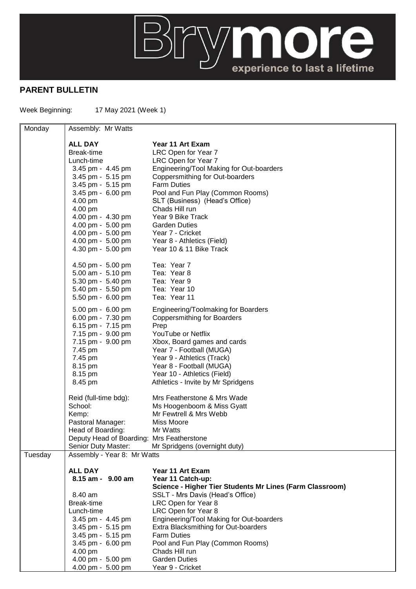

## **PARENT BULLETIN**

Week Beginning: 17 May 2021 (Week 1)

| Monday  | Assembly: Mr Watts                        |                                                                 |
|---------|-------------------------------------------|-----------------------------------------------------------------|
|         |                                           |                                                                 |
|         | <b>ALL DAY</b>                            | Year 11 Art Exam                                                |
|         | Break-time                                | LRC Open for Year 7                                             |
|         | Lunch-time<br>3.45 pm - 4.45 pm           | LRC Open for Year 7<br>Engineering/Tool Making for Out-boarders |
|         | 3.45 pm - 5.15 pm                         | Coppersmithing for Out-boarders                                 |
|         | 3.45 pm - 5.15 pm                         | <b>Farm Duties</b>                                              |
|         | 3.45 pm - 6.00 pm                         | Pool and Fun Play (Common Rooms)                                |
|         | 4.00 pm                                   | SLT (Business) (Head's Office)                                  |
|         | 4.00 pm                                   | Chads Hill run                                                  |
|         | 4.00 pm - 4.30 pm                         | Year 9 Bike Track                                               |
|         | 4.00 pm - 5.00 pm                         | <b>Garden Duties</b>                                            |
|         | 4.00 pm - 5.00 pm                         | Year 7 - Cricket                                                |
|         | 4.00 pm - 5.00 pm                         | Year 8 - Athletics (Field)                                      |
|         | 4.30 pm - 5.00 pm                         | Year 10 & 11 Bike Track                                         |
|         | 4.50 pm - 5.00 pm                         | Tea: Year 7                                                     |
|         | 5.00 am - 5.10 pm                         | Tea: Year 8                                                     |
|         | 5.30 pm - 5.40 pm                         | Tea: Year 9                                                     |
|         | 5.40 pm - 5.50 pm                         | Tea: Year 10                                                    |
|         | 5.50 pm - 6.00 pm                         | Tea: Year 11                                                    |
|         | 5.00 pm - 6.00 pm                         | Engineering/Toolmaking for Boarders                             |
|         | 6.00 pm - 7.30 pm                         | <b>Coppersmithing for Boarders</b>                              |
|         | 6.15 pm - 7.15 pm<br>7.15 pm - 9.00 pm    | Prep<br>YouTube or Netflix                                      |
|         | 7.15 pm - 9.00 pm                         | Xbox, Board games and cards                                     |
|         | 7.45 pm                                   | Year 7 - Football (MUGA)                                        |
|         | 7.45 pm                                   | Year 9 - Athletics (Track)                                      |
|         | 8.15 pm                                   | Year 8 - Football (MUGA)                                        |
|         | 8.15 pm                                   | Year 10 - Athletics (Field)                                     |
|         | 8.45 pm                                   | Athletics - Invite by Mr Spridgens                              |
|         | Reid (full-time bdg):                     | Mrs Featherstone & Mrs Wade                                     |
|         | School:                                   | Ms Hoogenboom & Miss Gyatt                                      |
|         | Kemp:                                     | Mr Fewtrell & Mrs Webb                                          |
|         | Pastoral Manager:                         | <b>Miss Moore</b>                                               |
|         | Head of Boarding:                         | Mr Watts                                                        |
|         | Deputy Head of Boarding: Mrs Featherstone |                                                                 |
|         | Senior Duty Master:                       | Mr Spridgens (overnight duty)                                   |
| Tuesday | Assembly - Year 8: Mr Watts               |                                                                 |
|         | <b>ALL DAY</b>                            | Year 11 Art Exam                                                |
|         | $8.15$ am - $9.00$ am                     | Year 11 Catch-up:                                               |
|         |                                           | Science - Higher Tier Students Mr Lines (Farm Classroom)        |
|         | 8.40 am                                   | SSLT - Mrs Davis (Head's Office)                                |
|         | Break-time                                | LRC Open for Year 8                                             |
|         | Lunch-time                                | LRC Open for Year 8                                             |
|         | 3.45 pm - 4.45 pm                         | Engineering/Tool Making for Out-boarders                        |
|         | 3.45 pm - 5.15 pm                         | Extra Blacksmithing for Out-boarders                            |
|         | 3.45 pm - 5.15 pm<br>3.45 pm - 6.00 pm    | <b>Farm Duties</b><br>Pool and Fun Play (Common Rooms)          |
|         | 4.00 pm                                   | Chads Hill run                                                  |
|         | 4.00 pm - 5.00 pm                         | <b>Garden Duties</b>                                            |
|         | 4.00 pm - 5.00 pm                         | Year 9 - Cricket                                                |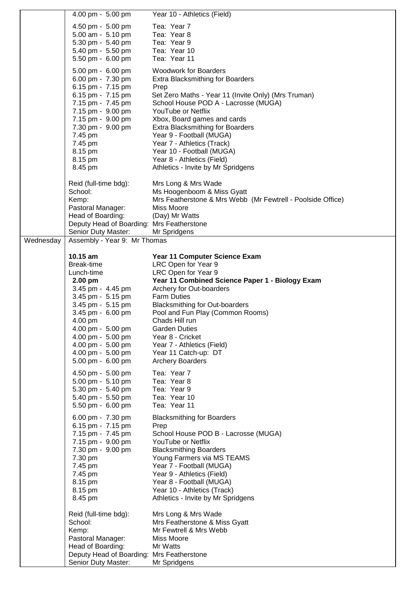|           | 4.00 pm - 5.00 pm                                   | Year 10 - Athletics (Field)                                 |
|-----------|-----------------------------------------------------|-------------------------------------------------------------|
|           | 4.50 pm - 5.00 pm                                   | Tea: Year 7                                                 |
|           | 5.00 am - 5.10 pm                                   | Tea: Year 8                                                 |
|           | 5.30 pm - 5.40 pm                                   | Tea: Year 9                                                 |
|           | 5.40 pm - 5.50 pm                                   | Tea: Year 10                                                |
|           | 5.50 pm - 6.00 pm                                   | Tea: Year 11                                                |
|           | 5.00 pm - 6.00 pm                                   | <b>Woodwork for Boarders</b>                                |
|           | 6.00 pm - 7.30 pm                                   | Extra Blacksmithing for Boarders                            |
|           | 6.15 pm - 7.15 pm                                   | Prep                                                        |
|           | 6.15 pm - 7.15 pm                                   | Set Zero Maths - Year 11 (Invite Only) (Mrs Truman)         |
|           | 7.15 pm - 7.45 pm                                   | School House POD A - Lacrosse (MUGA)                        |
|           | 7.15 pm - 9.00 pm<br>7.15 pm - 9.00 pm              | YouTube or Netflix<br>Xbox, Board games and cards           |
|           | 7.30 pm - 9.00 pm                                   | <b>Extra Blacksmithing for Boarders</b>                     |
|           | 7.45 pm                                             | Year 9 - Football (MUGA)                                    |
|           | 7.45 pm                                             | Year 7 - Athletics (Track)                                  |
|           | 8.15 pm                                             | Year 10 - Football (MUGA)                                   |
|           | 8.15 pm                                             | Year 8 - Athletics (Field)                                  |
|           | 8.45 pm                                             | Athletics - Invite by Mr Spridgens                          |
|           | Reid (full-time bdg):                               | Mrs Long & Mrs Wade                                         |
|           | School:                                             | Ms Hoogenboom & Miss Gyatt                                  |
|           | Kemp:                                               | Mrs Featherstone & Mrs Webb (Mr Fewtrell - Poolside Office) |
|           | Pastoral Manager:                                   | Miss Moore                                                  |
|           | Head of Boarding:                                   | (Day) Mr Watts                                              |
|           | Deputy Head of Boarding: Mrs Featherstone           |                                                             |
| Wednesday | Senior Duty Master:<br>Assembly - Year 9: Mr Thomas | Mr Spridgens                                                |
|           |                                                     |                                                             |
|           | 10.15 am                                            | Year 11 Computer Science Exam                               |
|           | Break-time                                          | LRC Open for Year 9                                         |
|           | Lunch-time                                          | LRC Open for Year 9                                         |
|           | $2.00$ pm                                           | Year 11 Combined Science Paper 1 - Biology Exam             |
|           | 3.45 pm - 4.45 pm<br>3.45 pm - 5.15 pm              | Archery for Out-boarders<br><b>Farm Duties</b>              |
|           | 3.45 pm - 5.15 pm                                   | <b>Blacksmithing for Out-boarders</b>                       |
|           | 3.45 pm - 6.00 pm                                   | Pool and Fun Play (Common Rooms)                            |
|           | 4.00 pm                                             | Chads Hill run                                              |
|           | 4.00 pm - 5.00 pm                                   | <b>Garden Duties</b>                                        |
|           | 4.00 pm - 5.00 pm                                   | Year 8 - Cricket                                            |
|           | 4.00 pm - 5.00 pm                                   | Year 7 - Athletics (Field)                                  |
|           | 4.00 pm - 5.00 pm<br>5.00 pm - 6.00 pm              | Year 11 Catch-up: DT<br><b>Archery Boarders</b>             |
|           |                                                     |                                                             |
|           | 4.50 pm - 5.00 pm                                   | Tea: Year 7                                                 |
|           | 5.00 pm - 5.10 pm                                   | Tea: Year 8                                                 |
|           | 5.30 pm - 5.40 pm<br>5.40 pm - 5.50 pm              | Tea: Year 9<br>Tea: Year 10                                 |
|           | 5.50 pm - 6.00 pm                                   | Tea: Year 11                                                |
|           | 6.00 pm - 7.30 pm                                   | <b>Blacksmithing for Boarders</b>                           |
|           | 6.15 pm - 7.15 pm                                   | Prep                                                        |
|           | 7.15 pm - 7.45 pm                                   | School House POD B - Lacrosse (MUGA)                        |
|           | 7.15 pm - 9.00 pm                                   | YouTube or Netflix                                          |
|           | 7.30 pm - 9.00 pm                                   | <b>Blacksmithing Boarders</b>                               |
|           | 7.30 pm                                             | Young Farmers via MS TEAMS                                  |
|           | 7.45 pm                                             | Year 7 - Football (MUGA)                                    |
|           | 7.45 pm<br>8.15 pm                                  | Year 9 - Athletics (Field)<br>Year 8 - Football (MUGA)      |
|           | 8.15 pm                                             | Year 10 - Athletics (Track)                                 |
|           | 8.45 pm                                             | Athletics - Invite by Mr Spridgens                          |
|           |                                                     |                                                             |
|           | Reid (full-time bdg):                               | Mrs Long & Mrs Wade                                         |
|           | School:<br>Kemp:                                    | Mrs Featherstone & Miss Gyatt<br>Mr Fewtrell & Mrs Webb     |
|           | Pastoral Manager:                                   | Miss Moore                                                  |
|           | Head of Boarding:                                   | Mr Watts                                                    |
|           | Deputy Head of Boarding:                            | <b>Mrs Featherstone</b>                                     |
|           | Senior Duty Master:                                 | Mr Spridgens                                                |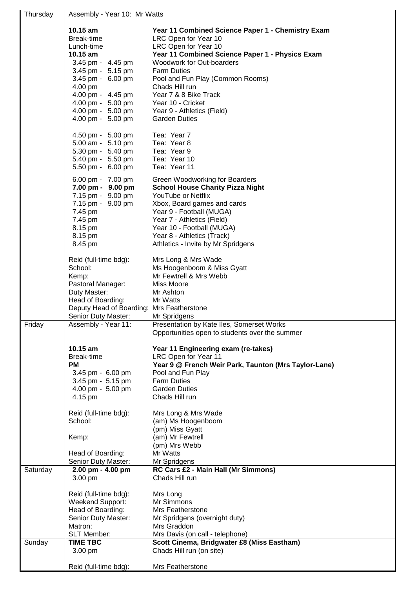| Thursday | Assembly - Year 10: Mr Watts              |                                                                                             |  |
|----------|-------------------------------------------|---------------------------------------------------------------------------------------------|--|
|          | $10.15$ am                                | Year 11 Combined Science Paper 1 - Chemistry Exam                                           |  |
|          | Break-time                                | LRC Open for Year 10                                                                        |  |
|          | Lunch-time                                | LRC Open for Year 10                                                                        |  |
|          | 10.15 $am$                                | Year 11 Combined Science Paper 1 - Physics Exam                                             |  |
|          | 3.45 pm - 4.45 pm                         | Woodwork for Out-boarders                                                                   |  |
|          | 3.45 pm - 5.15 pm                         | <b>Farm Duties</b>                                                                          |  |
|          | 3.45 pm - 6.00 pm                         | Pool and Fun Play (Common Rooms)                                                            |  |
|          | 4.00 pm                                   | Chads Hill run                                                                              |  |
|          | 4.00 pm - 4.45 pm                         | Year 7 & 8 Bike Track                                                                       |  |
|          | 4.00 pm - 5.00 pm                         | Year 10 - Cricket                                                                           |  |
|          | 4.00 pm - 5.00 pm                         | Year 9 - Athletics (Field)                                                                  |  |
|          | 4.00 pm - 5.00 pm                         | <b>Garden Duties</b>                                                                        |  |
|          | 4.50 pm - 5.00 pm                         | Tea: Year 7                                                                                 |  |
|          | 5.00 am - 5.10 pm                         | Tea: Year 8                                                                                 |  |
|          | 5.30 pm - 5.40 pm                         | Tea: Year 9                                                                                 |  |
|          | 5.40 pm - 5.50 pm                         | Tea: Year 10                                                                                |  |
|          | 5.50 pm - 6.00 pm                         | Tea: Year 11                                                                                |  |
|          | 6.00 pm - 7.00 pm                         | Green Woodworking for Boarders                                                              |  |
|          | 7.00 pm - 9.00 pm                         | <b>School House Charity Pizza Night</b>                                                     |  |
|          | 7.15 pm - 9.00 pm                         | YouTube or Netflix                                                                          |  |
|          | 7.15 pm - 9.00 pm                         | Xbox, Board games and cards                                                                 |  |
|          | 7.45 pm                                   | Year 9 - Football (MUGA)                                                                    |  |
|          | 7.45 pm                                   | Year 7 - Athletics (Field)                                                                  |  |
|          | 8.15 pm                                   | Year 10 - Football (MUGA)                                                                   |  |
|          | 8.15 pm                                   | Year 8 - Athletics (Track)                                                                  |  |
|          | 8.45 pm                                   | Athletics - Invite by Mr Spridgens                                                          |  |
|          |                                           |                                                                                             |  |
|          | Reid (full-time bdg):                     | Mrs Long & Mrs Wade                                                                         |  |
|          | School:                                   | Ms Hoogenboom & Miss Gyatt                                                                  |  |
|          | Kemp:                                     | Mr Fewtrell & Mrs Webb                                                                      |  |
|          | Pastoral Manager:                         | <b>Miss Moore</b>                                                                           |  |
|          | Duty Master:                              | Mr Ashton                                                                                   |  |
|          | Head of Boarding:                         | Mr Watts                                                                                    |  |
|          | Deputy Head of Boarding: Mrs Featherstone |                                                                                             |  |
|          | Senior Duty Master:                       | Mr Spridgens                                                                                |  |
| Friday   | Assembly - Year 11:                       | Presentation by Kate Iles, Somerset Works<br>Opportunities open to students over the summer |  |
|          |                                           |                                                                                             |  |
|          | 10.15 am                                  | Year 11 Engineering exam (re-takes)                                                         |  |
|          | Break-time                                | LRC Open for Year 11                                                                        |  |
|          | <b>PM</b>                                 | Year 9 @ French Weir Park, Taunton (Mrs Taylor-Lane)                                        |  |
|          | 3.45 pm - 6.00 pm                         | Pool and Fun Play                                                                           |  |
|          | 3.45 pm - 5.15 pm                         | <b>Farm Duties</b>                                                                          |  |
|          | 4.00 pm - 5.00 pm                         | <b>Garden Duties</b>                                                                        |  |
|          | 4.15 pm                                   | Chads Hill run                                                                              |  |
|          | Reid (full-time bdg):                     | Mrs Long & Mrs Wade                                                                         |  |
|          | School:                                   | (am) Ms Hoogenboom                                                                          |  |
|          |                                           | (pm) Miss Gyatt                                                                             |  |
|          | Kemp:                                     | (am) Mr Fewtrell                                                                            |  |
|          |                                           | (pm) Mrs Webb                                                                               |  |
|          | Head of Boarding:                         | Mr Watts                                                                                    |  |
|          | Senior Duty Master:                       | Mr Spridgens                                                                                |  |
| Saturday | 2.00 pm - 4.00 pm                         | RC Cars £2 - Main Hall (Mr Simmons)                                                         |  |
|          | 3.00 pm                                   | Chads Hill run                                                                              |  |
|          | Reid (full-time bdg):                     | Mrs Long                                                                                    |  |
|          | Weekend Support:                          | Mr Simmons                                                                                  |  |
|          | Head of Boarding:                         | Mrs Featherstone                                                                            |  |
|          | Senior Duty Master:                       | Mr Spridgens (overnight duty)                                                               |  |
|          | Matron:                                   | Mrs Graddon                                                                                 |  |
|          | <b>SLT Member:</b>                        | Mrs Davis (on call - telephone)                                                             |  |
| Sunday   | <b>TIME TBC</b>                           | Scott Cinema, Bridgwater £8 (Miss Eastham)                                                  |  |
|          | 3.00 pm                                   | Chads Hill run (on site)                                                                    |  |
|          |                                           |                                                                                             |  |
|          | Reid (full-time bdg):                     | Mrs Featherstone                                                                            |  |